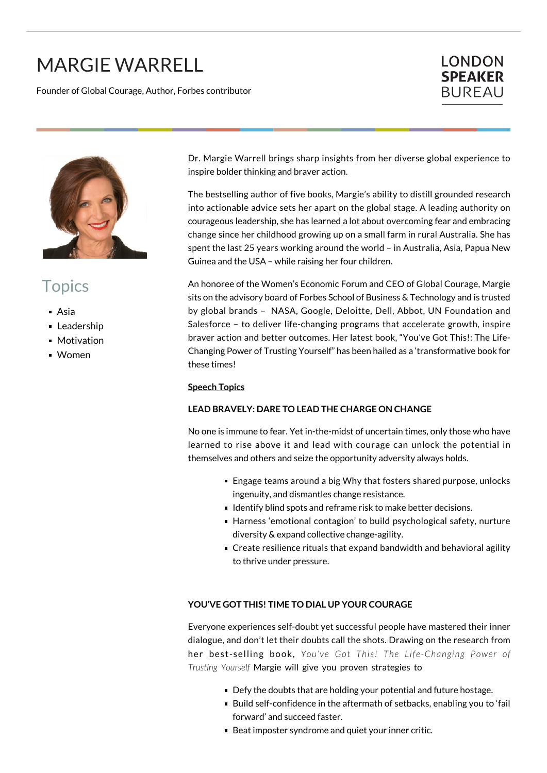# MARGIE WARRELL

Founder of Global Courage, Author, Forbes contributor





# **Topics**

- Asia
- **Leadership**
- **Motivation**
- Women

Dr. Margie Warrell brings sharp insights from her diverse global experience to inspire bolder thinking and braver action.

The bestselling author of five books, Margie's ability to distill grounded research into actionable advice sets her apart on the global stage. A leading authority on courageous leadership, she has learned a lot about overcoming fear and embracing change since her childhood growing up on a small farm in rural Australia. She has spent the last 25 years working around the world – in Australia, Asia, Papua New Guinea and the USA – while raising her four children.

An honoree of the Women's Economic Forum and CEO of Global Courage, Margie sits on the advisory board of Forbes School of Business & Technology and is trusted by global brands – NASA, Google, Deloitte, Dell, Abbot, UN Foundation and Salesforce – to deliver life-changing programs that accelerate growth, inspire braver action and better outcomes. Her latest book, "You've Got This!: The Life-Changing Power of Trusting Yourself" has been hailed as a 'transformative book for these times!

#### **Speech Topics**

#### **LEAD BRAVELY: DARE TO LEAD THE CHARGE ON CHANGE**

No one is immune to fear. Yet in-the-midst of uncertain times, only those who have learned to rise above it and lead with courage can unlock the potential in themselves and others and seize the opportunity adversity always holds.

- Engage teams around a big Why that fosters shared purpose, unlocks ingenuity, and dismantles change resistance.
- I dentify blind spots and reframe risk to make better decisions.
- Harness 'emotional contagion' to build psychological safety, nurture diversity & expand collective change-agility.
- Create resilience rituals that expand bandwidth and behavioral agility to thrive under pressure.

#### **YOU'VE GOT THIS! TIME TO DIAL UP YOUR COURAGE**

Everyone experiences self-doubt yet successful people have mastered their inner dialogue, and don't let their doubts call the shots. Drawing on the research from her best-selling book, *You've Got This! The Life-Changing Power of Trusting Yourself* Margie will give you proven strategies to

- Defy the doubts that are holding your potential and future hostage.
- Build self-confidence in the aftermath of setbacks, enabling you to 'fail forward' and succeed faster.
- Beat imposter syndrome and quiet your inner critic.